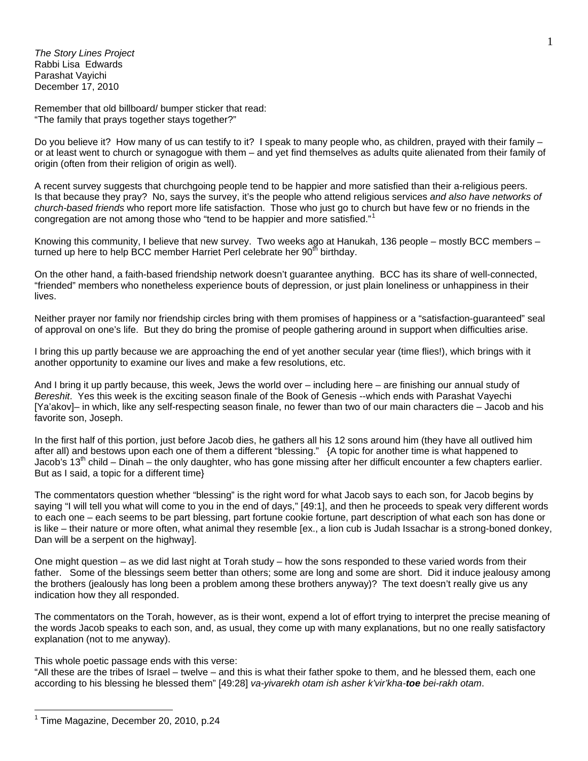*The Story Lines Project*  Rabbi Lisa Edwards Parashat Vayichi December 17, 2010

Remember that old billboard/ bumper sticker that read: "The family that prays together stays together?"

Do you believe it? How many of us can testify to it? I speak to many people who, as children, prayed with their family – or at least went to church or synagogue with them – and yet find themselves as adults quite alienated from their family of origin (often from their religion of origin as well).

A recent survey suggests that churchgoing people tend to be happier and more satisfied than their a-religious peers. Is that because they pray? No, says the survey, it's the people who attend religious services *and also have networks of church-based friends* who report more life satisfaction. Those who just go to church but have few or no friends in the congregation are not among those who "tend to be happier and more satisfied."<sup>[1](#page-0-0)</sup>

Knowing this community, I believe that new survey. Two weeks ago at Hanukah, 136 people – mostly BCC members – turned up here to help BCC member Harriet Perl celebrate her 90<sup>th</sup> birthday.

On the other hand, a faith-based friendship network doesn't guarantee anything. BCC has its share of well-connected, "friended" members who nonetheless experience bouts of depression, or just plain loneliness or unhappiness in their lives.

Neither prayer nor family nor friendship circles bring with them promises of happiness or a "satisfaction-guaranteed" seal of approval on one's life. But they do bring the promise of people gathering around in support when difficulties arise.

I bring this up partly because we are approaching the end of yet another secular year (time flies!), which brings with it another opportunity to examine our lives and make a few resolutions, etc.

And I bring it up partly because, this week, Jews the world over – including here – are finishing our annual study of *Bereshit*. Yes this week is the exciting season finale of the Book of Genesis --which ends with Parashat Vayechi [Ya'akov]– in which, like any self-respecting season finale, no fewer than two of our main characters die – Jacob and his favorite son, Joseph.

In the first half of this portion, just before Jacob dies, he gathers all his 12 sons around him (they have all outlived him after all) and bestows upon each one of them a different "blessing." {A topic for another time is what happened to Jacob's 13<sup>th</sup> child – Dinah – the only daughter, who has gone missing after her difficult encounter a few chapters earlier. But as I said, a topic for a different time}

The commentators question whether "blessing" is the right word for what Jacob says to each son, for Jacob begins by saying "I will tell you what will come to you in the end of days," [49:1], and then he proceeds to speak very different words to each one – each seems to be part blessing, part fortune cookie fortune, part description of what each son has done or is like – their nature or more often, what animal they resemble [ex., a lion cub is Judah Issachar is a strong-boned donkey, Dan will be a serpent on the highway].

One might question – as we did last night at Torah study – how the sons responded to these varied words from their father. Some of the blessings seem better than others; some are long and some are short. Did it induce jealousy among the brothers (jealously has long been a problem among these brothers anyway)? The text doesn't really give us any indication how they all responded.

The commentators on the Torah, however, as is their wont, expend a lot of effort trying to interpret the precise meaning of the words Jacob speaks to each son, and, as usual, they come up with many explanations, but no one really satisfactory explanation (not to me anyway).

This whole poetic passage ends with this verse:

"All these are the tribes of Israel – twelve – and this is what their father spoke to them, and he blessed them, each one according to his blessing he blessed them" [49:28] *va-yivarekh otam ish asher k'vir'kha-toe bei-rakh otam*.

 $\overline{a}$ 

<span id="page-0-0"></span><sup>&</sup>lt;sup>1</sup> Time Magazine, December 20, 2010, p.24